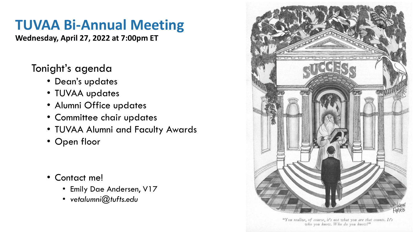## **TUVAA Bi-Annual Meeting**

**Wednesday, April 27, 2022 at 7:00pm ET**

### Tonight's agenda

- Dean's updates
- TUVAA updates
- Alumni Office updates
- Committee chair updates
- TUVAA Alumni and Faculty Awards
- Open floor

- Contact me!
	- Emily Dae Andersen, V17
	- *vetalumni@tufts.edu*



<sup>&</sup>quot;You realize, of course, it's not what you are that counts. It's who you know. Who do you know?"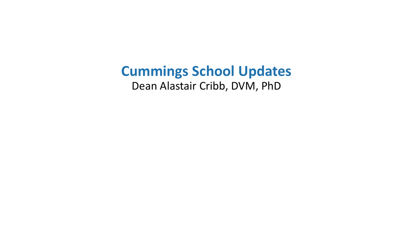### **Cummings School Updates** Dean Alastair Cribb, DVM, PhD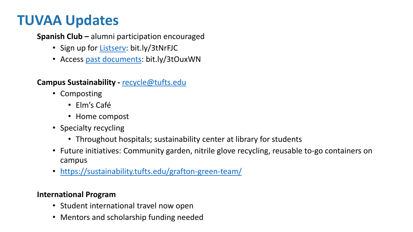### **TUVAA Updates**

**Spanish Club –** alumni participation encouraged

- Sign up for [Listserv:](https://docs.google.com/spreadsheets/d/1Xa4t7c-uPiz58UN65SfLJJ9zcBnYxggRHfbId14xwkg/edit#gid=0) bit.ly/3tNrFJC
- Access [past documents:](https://tufts.app.box.com/s/65xku77py2mk30yg0q8fgsjprezbsklh) bit.ly/3tOuxWN

#### **Campus Sustainability -** [recycle@tufts.edu](mailto:recycle@tufts.edu)

- Composting
	- Elm's Café
	- Home compost
- Specialty recycling
	- Throughout hospitals; sustainability center at library for students
- Future initiatives: Community garden, nitrile glove recycling, reusable to-go containers on campus
- <https://sustainability.tufts.edu/grafton-green-team/>

#### **International Program**

- Student international travel now open
- Mentors and scholarship funding needed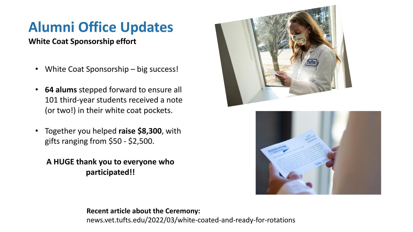# **Alumni Office Updates**

### **White Coat Sponsorship effort**

- White Coat Sponsorship big success!
- **64 alums** stepped forward to ensure all 101 third-year students received a note (or two!) in their white coat pockets.
- Together you helped **raise \$8,300**, with gifts ranging from \$50 - \$2,500.

### **A HUGE thank you to everyone who participated!!**





### **Recent article about the Ceremony:**

news.vet.tufts.edu/2022/03/white-coated-and-ready-for-rotations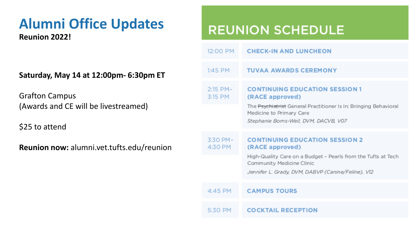# **Alumni Office Updates**

**Reunion 2022!**

### **Saturday, May 14 at 12:00pm- 6:30pm ET**

Grafton Campus (Awards and CE will be livestreamed)

\$25 to attend

**Reunion now:** alumni.vet.tufts.edu/reunion

### **REUNION SCHEDULE**

| 12:00 PM            | <b>CHECK-IN AND LUNCHEON</b>                                                                                                                                                                                 |
|---------------------|--------------------------------------------------------------------------------------------------------------------------------------------------------------------------------------------------------------|
| $1:45$ PM           | <b>TUVAA AWARDS CEREMONY</b>                                                                                                                                                                                 |
| 2:15 PM-<br>3:15 PM | <b>CONTINUING EDUCATION SESSION 1</b><br>(RACE approved)<br>The Psychiatrist General Practitioner Is In: Bringing Behavioral<br>Medicine to Primary Care<br>Stephanie Borns-Weil, DVM, DACVB, V07            |
| 3:30 PM-<br>4:30 PM | <b>CONTINUING EDUCATION SESSION 2</b><br>(RACE approved)<br>High-Quality Care on a Budget - Pearls from the Tufts at Tech<br>Community Medicine Clinic<br>Jennifer L. Grady, DVM, DABVP (Canine/Feline), V12 |
| 4:45 PM             | <b>CAMPUS TOURS</b>                                                                                                                                                                                          |
| 5:30 PM             | <b>COCKTAIL RECEPTION</b>                                                                                                                                                                                    |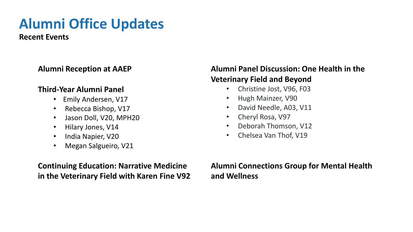# **Alumni Office Updates**

**Recent Events**

#### **Alumni Reception at AAEP**

#### **Third-Year Alumni Panel**

- Emily Andersen, V17
- Rebecca Bishop, V17
- Jason Doll, V20, MPH20
- Hilary Jones, V14
- India Napier, V20
- Megan Salgueiro, V21

### **Continuing Education: Narrative Medicine in the Veterinary Field with Karen Fine V92**

### **Alumni Panel Discussion: One Health in the Veterinary Field and Beyond**

- Christine Jost, V96, F03
- Hugh Mainzer, V90
- David Needle, A03, V11
- Cheryl Rosa, V97
- Deborah Thomson, V12
- Chelsea Van Thof, V19

**Alumni Connections Group for Mental Health and Wellness**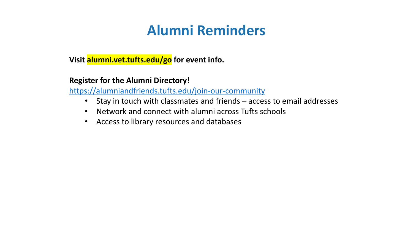### **Alumni Reminders**

**Visit alumni.vet.tufts.edu/go for event info.**

#### **Register for the Alumni Directory!**

<https://alumniandfriends.tufts.edu/join-our-community>

- Stay in touch with classmates and friends access to email addresses
- Network and connect with alumni across Tufts schools
- Access to library resources and databases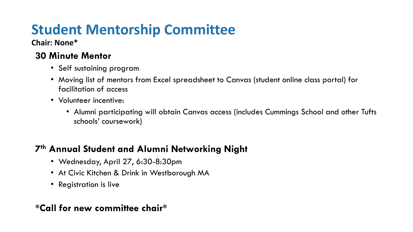# **Student Mentorship Committee**

**Chair: None\***

### **30 Minute Mentor**

- Self sustaining program
- Moving list of mentors from Excel spreadsheet to Canvas (student online class portal) for facilitation of access
- Volunteer incentive:
	- Alumni participating will obtain Canvas access (includes Cummings School and other Tufts schools' coursework)

### **7 th Annual Student and Alumni Networking Night**

- Wednesday, April 27, 6:30-8:30pm
- At Civic Kitchen & Drink in Westborough MA
- Registration is live

### **\*Call for new committee chair\***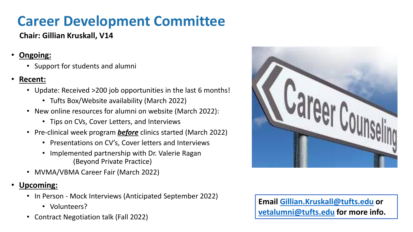# **Career Development Committee**

**Chair: Gillian Kruskall, V14**

- **Ongoing:**
	- Support for students and alumni
- **Recent:**
	- Update: Received >200 job opportunities in the last 6 months!
		- Tufts Box/Website availability (March 2022)
	- New online resources for alumni on website (March 2022):
		- Tips on CVs, Cover Letters, and Interviews
	- Pre-clinical week program *before* clinics started (March 2022)
		- Presentations on CV's, Cover letters and Interviews
		- Implemented partnership with Dr. Valerie Ragan (Beyond Private Practice)
	- MVMA/VBMA Career Fair (March 2022)
- **Upcoming:**
	- In Person Mock Interviews (Anticipated September 2022)
		- Volunteers?
	- Contract Negotiation talk (Fall 2022)

**Email [Gillian.Kruskall@tufts.edu](mailto:Gillian.Kruskall@tufts.edu) or [vetalumni@tufts.edu](mailto:vetalumni@tufts.edu) for more info.**

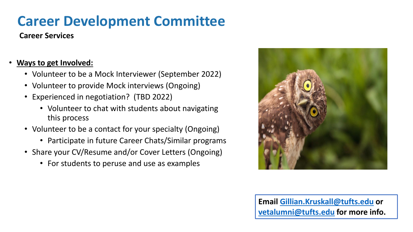### **Career Development Committee**

#### **Career Services**

### • **Ways to get Involved:**

- Volunteer to be a Mock Interviewer (September 2022)
- Volunteer to provide Mock interviews (Ongoing)
- Experienced in negotiation? (TBD 2022)
	- Volunteer to chat with students about navigating this process
- Volunteer to be a contact for your specialty (Ongoing)
	- Participate in future Career Chats/Similar programs
- Share your CV/Resume and/or Cover Letters (Ongoing)
	- For students to peruse and use as examples



**Email [Gillian.Kruskall@tufts.edu](mailto:Gillian.Kruskall@tufts.edu) or [vetalumni@tufts.edu](mailto:vetalumni@tufts.edu) for more info.**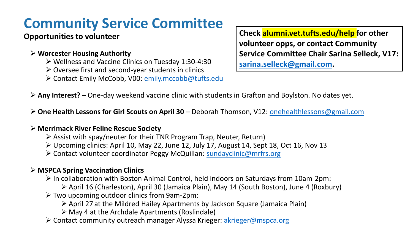# **Community Service Committee**

#### ➢ **Worcester Housing Authority**

➢ Wellness and Vaccine Clinics on Tuesday 1:30-4:30

- ➢ Oversee first and second-year students in clinics
- ➢ Contact Emily McCobb, V00: [emily.mccobb@tufts.edu](mailto:emily.mccobb@tufts.edu)

**Opportunities to volunteer Check alumni.vet.tufts.edu/help** for other **volunteer opps, or contact Community Service Committee Chair Sarina Selleck, V17: [sarina.selleck@gmail.com](mailto:sarina.selleck@gmail.com).**

- ➢ **Any Interest?**  One-day weekend vaccine clinic with students in Grafton and Boylston. No dates yet.
- ➢ **One Health Lessons for Girl Scouts on April 30**  Deborah Thomson, V12: [onehealthlessons@gmail.com](mailto:onehealthlessons@gmail.com)

#### ➢ **Merrimack River Feline Rescue Society**

➢ Assist with spay/neuter for their TNR Program Trap, Neuter, Return)

➢ Upcoming clinics: April 10, May 22, June 12, July 17, August 14, Sept 18, Oct 16, Nov 13

➢ Contact volunteer coordinator Peggy McQuillan: [sundayclinic@mrfrs.org](mailto:sundayclinic@mrfrs.org)

#### ➢ **MSPCA Spring Vaccination Clinics**

➢ In collaboration with Boston Animal Control, held indoors on Saturdays from 10am-2pm:

- ➢ April 16 (Charleston), April 30 (Jamaica Plain), May 14 (South Boston), June 4 (Roxbury)
- ➢ Two upcoming outdoor clinics from 9am-2pm:
	- ➢ April 27 at the Mildred Hailey Apartments by Jackson Square (Jamaica Plain)
	- $\triangleright$  May 4 at the Archdale Apartments (Roslindale)

➢ Contact community outreach manager Alyssa Krieger: [akrieger@mspca.org](mailto:akrieger@mspca.org)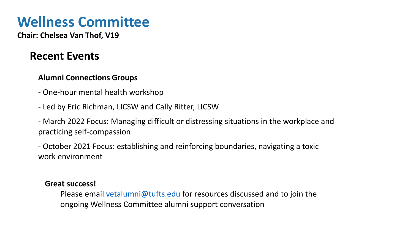### **Wellness Committee**

**Chair: Chelsea Van Thof, V19**

### **Recent Events**

#### **Alumni Connections Groups**

- One-hour mental health workshop
- Led by Eric Richman, LICSW and Cally Ritter, LICSW

- March 2022 Focus: Managing difficult or distressing situations in the workplace and practicing self-compassion

- October 2021 Focus: establishing and reinforcing boundaries, navigating a toxic work environment

#### **Great success!**

Please email [vetalumni@tufts.edu](mailto:vetalumni@tufts.edu) for resources discussed and to join the ongoing Wellness Committee alumni support conversation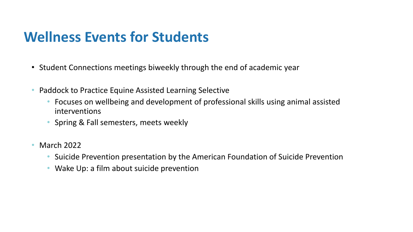### **Wellness Events for Students**

- Student Connections meetings biweekly through the end of academic year
- Paddock to Practice Equine Assisted Learning Selective
	- Focuses on wellbeing and development of professional skills using animal assisted interventions
	- Spring & Fall semesters, meets weekly
- March 2022
	- Suicide Prevention presentation by the American Foundation of Suicide Prevention
	- Wake Up: a film about suicide prevention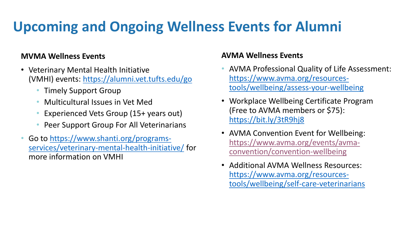# **Upcoming and Ongoing Wellness Events for Alumni**

#### **MVMA Wellness Events**

- Veterinary Mental Health Initiative (VMHI) events: <https://alumni.vet.tufts.edu/go>
	- Timely Support Group
	- Multicultural Issues in Vet Med
	- Experienced Vets Group (15+ years out)
	- Peer Support Group For All Veterinarians
- Go to https://www.shanti.org/programs[services/veterinary-mental-health-initiative/](https://www.shanti.org/programs-services/veterinary-mental-health-initiative/) for more information on VMHI

#### **AVMA Wellness Events**

- AVMA Professional Quality of Life Assessment: https://www.avma.org/resources[tools/wellbeing/assess-your-wellbeing](https://www.avma.org/resources-tools/wellbeing/assess-your-wellbeing)
- Workplace Wellbeing Certificate Program (Free to AVMA members or \$75): <https://bit.ly/3tR9hj8>
- AVMA Convention Event for Wellbeing: [https://www.avma.org/events/avma](https://www.avma.org/events/avma-convention/convention-wellbeing)convention/convention-wellbeing
- Additional AVMA Wellness Resources: https://www.avma.org/resources[tools/wellbeing/self-care-veterinarians](https://www.avma.org/resources-tools/wellbeing/self-care-veterinarians)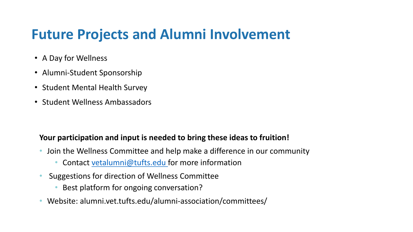### **Future Projects and Alumni Involvement**

- A Day for Wellness
- Alumni-Student Sponsorship
- Student Mental Health Survey
- Student Wellness Ambassadors

#### **Your participation and input is needed to bring these ideas to fruition!**

- Join the Wellness Committee and help make a difference in our community
	- Contact [vetalumni@tufts.edu](mailto:vetalumni@tufts.edu) for more information
- Suggestions for direction of Wellness Committee
	- Best platform for ongoing conversation?
- Website: alumni.vet.tufts.edu/alumni-association/committees/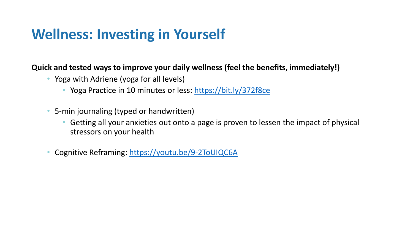### **Wellness: Investing in Yourself**

**Quick and tested ways to improve your daily wellness (feel the benefits, immediately!)**

- Yoga with Adriene (yoga for all levels)
	- Yoga Practice in 10 minutes or less: <https://bit.ly/372f8ce>
- 5-min journaling (typed or handwritten)
	- Getting all your anxieties out onto a page is proven to lessen the impact of physical stressors on your health
- Cognitive Reframing: <https://youtu.be/9-2ToUIQC6A>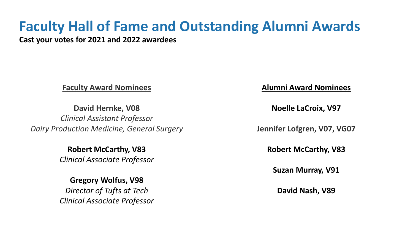### **Faculty Hall of Fame and Outstanding Alumni Awards**

**Cast your votes for 2021 and 2022 awardees**

**Faculty Award Nominees**

**David Hernke, V08** *Clinical Assistant Professor Dairy Production Medicine, General Surgery*

> **Robert McCarthy, V83** *Clinical Associate Professor*

> **Gregory Wolfus, V98** *Director of Tufts at Tech Clinical Associate Professor*

**Alumni Award Nominees**

**Noelle LaCroix, V97**

**Jennifer Lofgren, V07, VG07**

**Robert McCarthy, V83**

**Suzan Murray, V91**

**David Nash, V89**